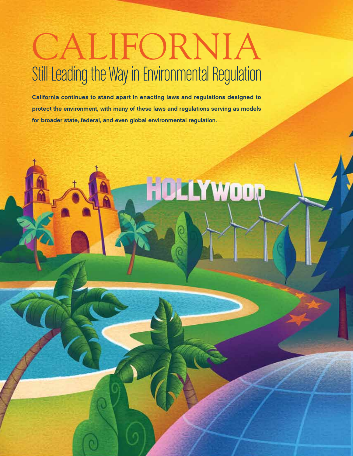## CALIFORNIA Still Leading the Way in Environmental Regulation

California continues to stand apart in enacting laws and regulations designed to protect the environment, with many of these laws and regulations serving as models for broader state, federal, and even global environmental regulation.

**HOLLYWOOD**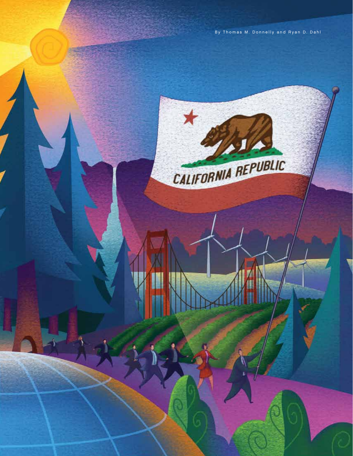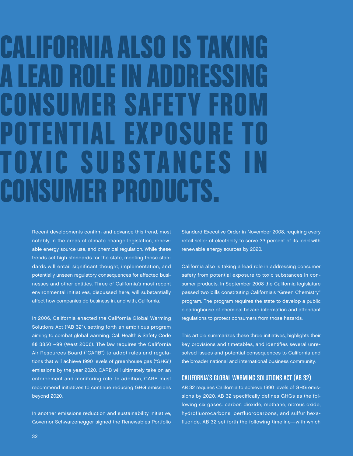# CALIFORNIA ALSO IS TAKING A LEAD ROLE IN ADDRESSI **CONSUMER SAFETY F** OTENTIAL EXPOSURE TOXIC SUBSTANCES CONSUMER PRODUCTS.

Recent developments confirm and advance this trend, most notably in the areas of climate change legislation, renewable energy source use, and chemical regulation. While these trends set high standards for the state, meeting those standards will entail significant thought, implementation, and potentially unseen regulatory consequences for affected businesses and other entities. Three of California's most recent environmental initiatives, discussed here, will substantially affect how companies do business in, and with, California.

In 2006, California enacted the California Global Warming Solutions Act ("AB 32"), setting forth an ambitious program aiming to combat global warming. Cal. Health & Safety Code §§ 38501–99 (West 2006). The law requires the California Air Resources Board ("CARB") to adopt rules and regulations that will achieve 1990 levels of greenhouse gas ("GHG") emissions by the year 2020. CARB will ultimately take on an enforcement and monitoring role. In addition, CARB must recommend initiatives to continue reducing GHG emissions beyond 2020.

In another emissions reduction and sustainability initiative, Governor Schwarzenegger signed the Renewables Portfolio Standard Executive Order in November 2008, requiring every retail seller of electricity to serve 33 percent of its load with renewable energy sources by 2020.

California also is taking a lead role in addressing consumer safety from potential exposure to toxic substances in consumer products. In September 2008 the California legislature passed two bills constituting California's "Green Chemistry" program. The program requires the state to develop a public clearinghouse of chemical hazard information and attendant regulations to protect consumers from those hazards.

This article summarizes these three initiatives, highlights their key provisions and timetables, and identifies several unresolved issues and potential consequences to California and the broader national and international business community.

## CALIFORNIA'S GLOBAL WARMING SOLUTIONS ACT (AB 32)

AB 32 requires California to achieve 1990 levels of GHG emissions by 2020. AB 32 specifically defines GHGs as the following six gases: carbon dioxide, methane, nitrous oxide, hydrofluorocarbons, perfluorocarbons, and sulfur hexafluoride. AB 32 set forth the following timeline—with which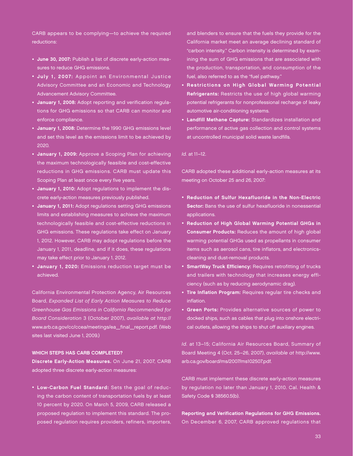CARB appears to be complying—to achieve the required reductions:

- June 30, 2007: Publish a list of discrete early-action measures to reduce GHG emissions.
- July 1, 2007: Appoint an Environmental Justice Advisory Committee and an Economic and Technology Advancement Advisory Committee.
- January 1, 2008: Adopt reporting and verification regulations for GHG emissions so that CARB can monitor and enforce compliance.
- January 1, 2008: Determine the 1990 GHG emissions level and set this level as the emissions limit to be achieved by 2020.
- January 1, 2009: Approve a Scoping Plan for achieving the maximum technologically feasible and cost-effective reductions in GHG emissions. CARB must update this Scoping Plan at least once every five years.
- January 1, 2010: Adopt regulations to implement the discrete early-action measures previously published.
- January 1, 2011: Adopt regulations setting GHG emissions limits and establishing measures to achieve the maximum technologically feasible and cost-effective reductions in GHG emissions. These regulations take effect on January 1, 2012. However, CARB may adopt regulations before the January 1, 2011, deadline, and if it does, these regulations may take effect prior to January 1, 2012.
- January 1, 2020: Emissions reduction target must be achieved.

California Environmental Protection Agency, Air Resources Board, Expanded List of Early Action Measures to Reduce Greenhouse Gas Emissions in California Recommended for Board Consideration 3 (October 2007), available at http:// www.arb.ca.gov/cc/ccea/meetings/ea\_final\_report.pdf. (Web sites last visited June 1, 2009.)

#### WHICH STEPS HAS CARB COMPLETED?

Discrete Early-Action Measures. On June 21, 2007, CARB adopted three discrete early-action measures:

• Low-Carbon Fuel Standard: Sets the goal of reducing the carbon content of transportation fuels by at least 10 percent by 2020. On March 5, 2009, CARB released a proposed regulation to implement this standard. The proposed regulation requires providers, refiners, importers, and blenders to ensure that the fuels they provide for the California market meet an average declining standard of "carbon intensity." Carbon intensity is determined by examining the sum of GHG emissions that are associated with the production, transportation, and consumption of the fuel, also referred to as the "fuel pathway."

- Restrictions on High Global Warming Potential Refrigerants: Restricts the use of high global warming potential refrigerants for nonprofessional recharge of leaky automotive air-conditioning systems.
- Landfill Methane Capture: Standardizes installation and performance of active gas collection and control systems at uncontrolled municipal solid waste landfills.

#### Id. at 11–12.

CARB adopted these additional early-action measures at its meeting on October 25 and 26, 2007:

- Reduction of Sulfur Hexafluoride in the Non-Electric Sector: Bans the use of sulfur hexafluoride in nonessential applications.
- Reduction of High Global Warming Potential GHGs in Consumer Products: Reduces the amount of high global warming potential GHGs used as propellants in consumer items such as aerosol cans, tire inflators, and electronicscleaning and dust-removal products.
- SmartWay Truck Efficiency: Requires retrofitting of trucks and trailers with technology that increases energy efficiency (such as by reducing aerodynamic drag).
- Tire Inflation Program: Requires regular tire checks and inflation.
- Green Ports: Provides alternative sources of power to docked ships, such as cables that plug into onshore electrical outlets, allowing the ships to shut off auxiliary engines.

Id. at 13–15; California Air Resources Board, Summary of Board Meeting 4 (Oct. 25–26, 2007), available at http://www. arb.ca.gov/board/ms/2007/ms102507.pdf.

CARB must implement these discrete early-action measures by regulation no later than January 1, 2010. Cal. Health & Safety Code § 38560.5(b).

Reporting and Verification Regulations for GHG Emissions. On December 6, 2007, CARB approved regulations that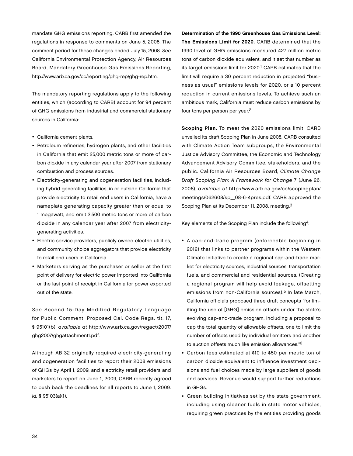mandate GHG emissions reporting. CARB first amended the regulations in response to comments on June 5, 2008. The comment period for these changes ended July 15, 2008. See California Environmental Protection Agency, Air Resources Board, Mandatory Greenhouse Gas Emissions Reporting, http://www.arb.ca.gov/cc/reporting/ghg-rep/ghg-rep.htm.

The mandatory reporting regulations apply to the following entities, which (according to CARB) account for 94 percent of GHG emissions from industrial and commercial stationary sources in California:

- California cement plants.
- Petroleum refineries, hydrogen plants, and other facilities in California that emit 25,000 metric tons or more of carbon dioxide in any calendar year after 2007 from stationary combustion and process sources.
- Electricity-generating and cogeneration facilities, including hybrid generating facilities, in or outside California that provide electricity to retail end users in California, have a nameplate generating capacity greater than or equal to 1 megawatt, and emit 2,500 metric tons or more of carbon dioxide in any calendar year after 2007 from electricitygenerating activities.
- Electric service providers, publicly owned electric utilities, and community choice aggregators that provide electricity to retail end users in California.
- Marketers serving as the purchaser or seller at the first point of delivery for electric power imported into California or the last point of receipt in California for power exported out of the state.

See Second 15-Day Modified Regulatory Language for Public Comment, Proposed Cal. Code Regs. tit. 17, § 95101(b), available at http://www.arb.ca.gov/regact/2007/ ghg2007/ghgattachment1.pdf.

Although AB 32 originally required electricity-generating and cogeneration facilities to report their 2008 emissions of GHGs by April 1, 2009, and electricity retail providers and marketers to report on June 1, 2009, CARB recently agreed to push back the deadlines for all reports to June 1, 2009. Id. § 95103(a)(1).

Determination of the 1990 Greenhouse Gas Emissions Level: The Emissions Limit for 2020. CARB determined that the 1990 level of GHG emissions measured 427 million metric tons of carbon dioxide equivalent, and it set that number as its target emissions limit for 2020.<sup>1</sup> CARB estimates that the limit will require a 30 percent reduction in projected "business as usual" emissions levels for 2020, or a 10 percent reduction in current emissions levels. To achieve such an ambitious mark, California must reduce carbon emissions by four tons per person per year.2

Scoping Plan. To meet the 2020 emissions limit, CARB unveiled its draft Scoping Plan in June 2008. CARB consulted with Climate Action Team subgroups, the Environmental Justice Advisory Committee, the Economic and Technology Advancement Advisory Committee, stakeholders, and the public. California Air Resources Board, Climate Change Draft Scoping Plan: A Framework for Change 7 (June 26, 2008), available at http://www.arb.ca.gov/cc/scopingplan/ meetings/062608/sp\_08-6-4pres.pdf. CARB approved the Scoping Plan at its December 11, 2008, meeting.3

Key elements of the Scoping Plan include the following4:

- A cap-and-trade program (enforceable beginning in 2012) that links to partner programs within the Western Climate Initiative to create a regional cap-and-trade market for electricity sources, industrial sources, transportation fuels, and commercial and residential sources. (Creating a regional program will help avoid leakage, offsetting emissions from non-California sources).<sup>5</sup> In late March, California officials proposed three draft concepts "for limiting the use of [GHG] emission offsets under the state's evolving cap-and-trade program, including a proposal to cap the total quantity of allowable offsets, one to limit the number of offsets used by individual emitters and another to auction offsets much like emission allowances."6
- Carbon fees estimated at \$10 to \$50 per metric ton of carbon dioxide equivalent to influence investment decisions and fuel choices made by large suppliers of goods and services. Revenue would support further reductions in GHGs.
- Green building initiatives set by the state government, including using cleaner fuels in state motor vehicles, requiring green practices by the entities providing goods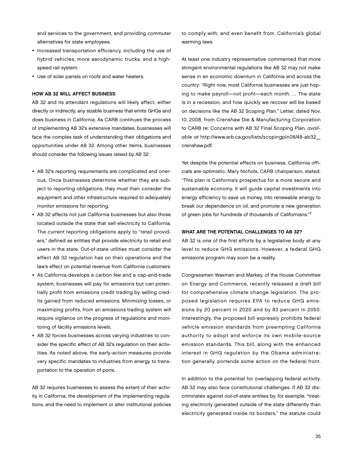and services to the government, and providing commuter alternatives for state employees.

- Increased transportation efficiency, including the use of hybrid vehicles, more aerodynamic trucks, and a highspeed rail system.
- Use of solar panels on roofs and water heaters.

#### How AB 32 Will Affect Business

AB 32 and its attendant regulations will likely affect, either directly or indirectly, any sizable business that emits GHGs and does business in California. As CARB continues the process of implementing AB 32's extensive mandates, businesses will face the complex task of understanding their obligations and opportunities under AB 32. Among other items, businesses should consider the following issues raised by AB 32:

- AB 32's reporting requirements are complicated and onerous. Once businesses determine whether they are subject to reporting obligations, they must then consider the equipment and other infrastructure required to adequately monitor emissions for reporting.
- AB 32 affects not just California businesses but also those located outside the state that sell electricity to California. The current reporting obligations apply to "retail providers," defined as entities that provide electricity to retail end users in the state. Out-of-state utilities must consider the effect AB 32 regulation has on their operations and the law's effect on potential revenue from California customers.
- As California develops a carbon fee and a cap-and-trade system, businesses will pay for emissions but can potentially profit from emissions credit trading by selling credits gained from reduced emissions. Minimizing losses, or maximizing profits, from an emissions trading system will require vigilance on the progress of regulations and monitoring of facility emissions levels.
- AB 32 forces businesses across varying industries to consider the specific effect of AB 32's regulation on their activities. As noted above, the early-action measures provide very specific mandates to industries from energy to transportation to the operation of ports.

AB 32 requires businesses to assess the extent of their activity in California, the development of the implementing regulations, and the need to implement or alter institutional policies to comply with, and even benefit from, California's global warming laws.

At least one industry representative commented that more stringent environmental regulations like AB 32 may not make sense in an economic downturn in California and across the country: "Right now, most California businesses are just hoping to make payroll—not profit—each month. … The state is in a recession, and how quickly we recover will be based on decisions like the AB 32 Scoping Plan." Letter, dated Nov. 10, 2008, from Crenshaw Die & Manufacturing Corporation to CARB re: Concerns with AB 32 Final Scoping Plan, available at http://www.arb.ca.gov/lists/scopingpln08/48-ab32\_ crenshaw.pdf.

Yet despite the potential effects on business, California officials are optimistic. Mary Nichols, CARB chairperson, stated: "This plan is California's prospectus for a more secure and sustainable economy. It will guide capital investments into energy efficiency to save us money, into renewable energy to break our dependence on oil, and promote a new generation of green jobs for hundreds of thousands of Californians."7

#### WHAT ARE THE POTENTIAL CHALLENGES TO AB 32?

AB 32 is one of the first efforts by a legislative body at any level to reduce GHG emissions. However, a federal GHG emissions program may soon be a reality.

Congressmen Waxman and Markey, of the House Committee on Energy and Commerce, recently released a draft bill for comprehensive climate change legislation. The proposed legislation requires EPA to reduce GHG emissions by 20 percent in 2020 and by 83 percent in 2050. Interestingly, the proposed bill expressly prohibits federal vehicle emission standards from preempting California authority to adopt and enforce its own mobile-source emission standards. This bill, along with the enhanced interest in GHG regulation by the Obama administration generally, portends some action on the federal front.

In addition to the potential for overlapping federal activity, AB 32 may also face constitutional challenges. If AB 32 discriminates against out-of-state entities by, for example, "treating electricity generated outside of the state differently than electricity generated inside its borders," the statute could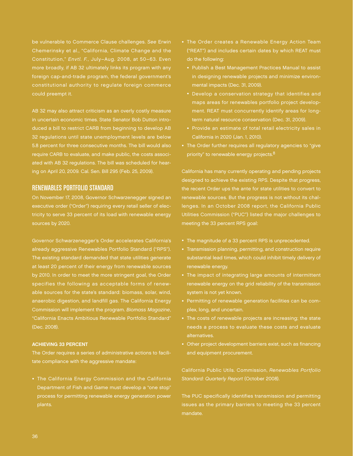be vulnerable to Commerce Clause challenges. See Erwin Chemerinsky et al., "California, Climate Change and the Constitution," Envtl. F., July–Aug. 2008, at 50–63. Even more broadly, if AB 32 ultimately links its program with any foreign cap-and-trade program, the federal government's constitutional authority to regulate foreign commerce could preempt it.

AB 32 may also attract criticism as an overly costly measure duced a bill to restrict CARB from beginning to develop AB 32 regulations until state unemployment levels are below 5.8 percent for three consecutive months. The bill would also require CARB to evaluate, and make public, the costs associated with AB 32 regulations. The bill was scheduled for hearing on April 20, 2009. Cal. Sen. Bill 295 (Feb. 25, 2009).

## RENEWABLES PORTFOLIO STANDARD

On November 17, 2008, Governor Schwarzenegger signed an executive order ("Order") requiring every retail seller of electricity to serve 33 percent of its load with renewable energy sources by 2020.

Governor Schwarzenegger's Order accelerates California's already aggressive Renewables Portfolio Standard ("RPS"). The existing standard demanded that state utilities generate at least 20 percent of their energy from renewable sources by 2010. In order to meet the more stringent goal, the Order specifies the following as acceptable forms of renewable sources for the state's standard: biomass, solar, wind, anaerobic digestion, and landfill gas. The California Energy Commission will implement the program. Biomass Magazine, "California Enacts Ambitious Renewable Portfolio Standard" (Dec. 2008).

#### Achieving 33 Percent

The Order requires a series of administrative actions to facilitate compliance with the aggressive mandate:

• The California Energy Commission and the California Department of Fish and Game must develop a "one stop" process for permitting renewable energy generation power plants.

- The Order creates a Renewable Energy Action Team ("REAT") and includes certain dates by which REAT must do the following:
	- Publish a Best Management Practices Manual to assist in designing renewable projects and minimize environmental impacts (Dec. 31, 2009).
	- Develop a conservation strategy that identifies and maps areas for renewables portfolio project development. REAT must concurrently identify areas for longterm natural resource conservation (Dec. 31, 2009).
	- Provide an estimate of total retail electricity sales in California in 2020 (Jan. 1, 2010).
- The Order further requires all regulatory agencies to "give priority" to renewable energy projects.<sup>8</sup>

California has many currently operating and pending projects designed to achieve the existing RPS. Despite that progress, the recent Order ups the ante for state utilities to convert to renewable sources. But the progress is not without its challenges. In an October 2008 report, the California Public Utilities Commission ("PUC") listed the major challenges to meeting the 33 percent RPS goal:

- The magnitude of a 33 percent RPS is unprecedented.
- Transmission planning, permitting, and construction require substantial lead times, which could inhibit timely delivery of renewable energy.
- The impact of integrating large amounts of intermittent renewable energy on the grid reliability of the transmission system is not yet known.
- Permitting of renewable generation facilities can be complex, long, and uncertain.
- The costs of renewable projects are increasing; the state needs a process to evaluate these costs and evaluate alternatives.
- Other project development barriers exist, such as financing and equipment procurement.

Standard: Quarterly Report (October 2008).

The PUC specifically identifies transmission and permitting issues as the primary barriers to meeting the 33 percent mandate.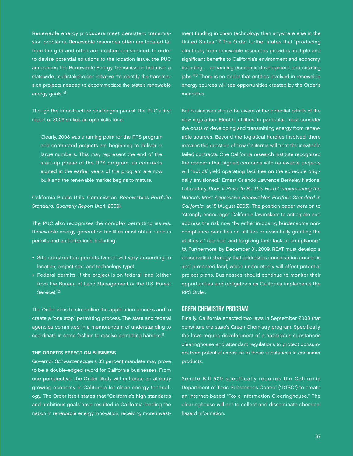Renewable energy producers meet persistent transmission problems. Renewable resources often are located far from the grid and often are location-constrained. In order to devise potential solutions to the location issue, the PUC announced the Renewable Energy Transmission Initiative, a statewide, multistakeholder initiative "to identify the transmission projects needed to accommodate the state's renewable energy goals."9

Though the infrastructure challenges persist, the PUC's first report of 2009 strikes an optimistic tone:

Clearly, 2008 was a turning point for the RPS program and contracted projects are beginning to deliver in large numbers. This may represent the end of the start-up phase of the RPS program, as contracts signed in the earlier years of the program are now built and the renewable market begins to mature.

California Public Utils. Commission, Renewables Portfolio Standard: Quarterly Report (April 2009).

The PUC also recognizes the complex permitting issues. Renewable energy generation facilities must obtain various permits and authorizations, including:

- Site construction permits (which will vary according to location, project size, and technology type).
- Federal permits, if the project is on federal land (either from the Bureau of Land Management or the U.S. Forest Service).10

The Order aims to streamline the application process and to create a "one stop" permitting process. The state and federal agencies committed in a memorandum of understanding to coordinate in some fashion to resolve permitting barriers.11

#### The Order's Effect on Business

Governor Schwarzenegger's 33 percent mandate may prove to be a double-edged sword for California businesses. From one perspective, the Order likely will enhance an already growing economy in California for clean energy technology. The Order itself states that "California's high standards and ambitious goals have resulted in California leading the nation in renewable energy innovation, receiving more investment funding in clean technology than anywhere else in the United States."12 The Order further states that "producing electricity from renewable resources provides multiple and significant benefits to California's environment and economy, including … enhancing economic development, and creating jobs."<sup>13</sup> There is no doubt that entities involved in renewable energy sources will see opportunities created by the Order's mandates.

But businesses should be aware of the potential pitfalls of the new regulation. Electric utilities, in particular, must consider the costs of developing and transmitting energy from renewable sources. Beyond the logistical hurdles involved, there remains the question of how California will treat the inevitable failed contracts. One California research institute recognized the concern that signed contracts with renewable projects will "not all yield operating facilities on the schedule originally envisioned." Ernest Orlando Lawrence Berkeley National Laboratory, Does It Have To Be This Hard? Implementing the Nation's Most Aggressive Renewables Portfolio Standard in California, at 15 (August 2005). The position paper went on to "strongly encourage" California lawmakers to anticipate and address the risk now "by either imposing burdensome noncompliance penalties on utilities or essentially granting the utilities a 'free-ride' and forgiving their lack of compliance." Id. Furthermore, by December 31, 2009, REAT must develop a conservation strategy that addresses conservation concerns and protected land, which undoubtedly will affect potential project plans. Businesses should continue to monitor their opportunities and obligations as California implements the RPS Order.

### GREEN CHEMISTRY PROGRAM

Finally, California enacted two laws in September 2008 that constitute the state's Green Chemistry program. Specifically, the laws require development of a hazardous substances clearinghouse and attendant regulations to protect consumers from potential exposure to those substances in consumer products.

Senate Bill 509 specifically requires the California Department of Toxic Substances Control ("DTSC") to create an internet-based "Toxic Information Clearinghouse." The clearinghouse will act to collect and disseminate chemical hazard information.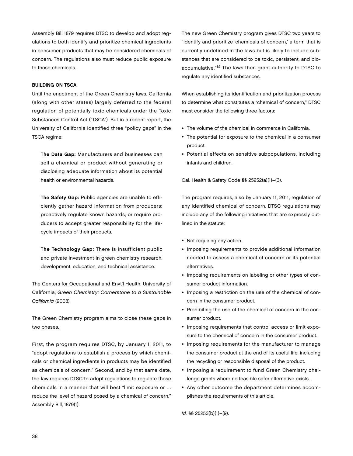Assembly Bill 1879 requires DTSC to develop and adopt regulations to both identify and prioritize chemical ingredients in consumer products that may be considered chemicals of concern. The regulations also must reduce public exposure to those chemicals.

#### Building on TSCA

Until the enactment of the Green Chemistry laws, California (along with other states) largely deferred to the federal regulation of potentially toxic chemicals under the Toxic Substances Control Act ("TSCA"). But in a recent report, the University of California identified three "policy gaps" in the TSCA regime:

The Data Gap: Manufacturers and businesses can sell a chemical or product without generating or disclosing adequate information about its potential health or environmental hazards.

The Safety Gap: Public agencies are unable to efficiently gather hazard information from producers; proactively regulate known hazards; or require producers to accept greater responsibility for the lifecycle impacts of their products.

The Technology Gap: There is insufficient public and private investment in green chemistry research, development, education, and technical assistance.

The Centers for Occupational and Envt'l Health, University of California, Green Chemistry: Cornerstone to a Sustainable California (2008).

The Green Chemistry program aims to close these gaps in two phases.

First, the program requires DTSC, by January 1, 2011, to "adopt regulations to establish a process by which chemicals or chemical ingredients in products may be identified as chemicals of concern." Second, and by that same date, the law requires DTSC to adopt regulations to regulate those chemicals in a manner that will best "limit exposure or … reduce the level of hazard posed by a chemical of concern." Assembly Bill, 1879(1).

The new Green Chemistry program gives DTSC two years to "identify and prioritize 'chemicals of concern,' a term that is currently undefined in the laws but is likely to include substances that are considered to be toxic, persistent, and bioaccumulative."14 The laws then grant authority to DTSC to regulate any identified substances.

When establishing its identification and prioritization process to determine what constitutes a "chemical of concern," DTSC must consider the following three factors:

- The volume of the chemical in commerce in California.
- The potential for exposure to the chemical in a consumer product.
- Potential effects on sensitive subpopulations, including infants and children.

Cal. Health & Safety Code §§ 25252(a)(1)–(3).

The program requires, also by January 11, 2011, regulation of any identified chemical of concern. DTSC regulations may include any of the following initiatives that are expressly outlined in the statute:

- Not requiring any action.
- Imposing requirements to provide additional information needed to assess a chemical of concern or its potential alternatives.
- Imposing requirements on labeling or other types of consumer product information.
- Imposing a restriction on the use of the chemical of concern in the consumer product.
- Prohibiting the use of the chemical of concern in the consumer product.
- Imposing requirements that control access or limit exposure to the chemical of concern in the consumer product.
- Imposing requirements for the manufacturer to manage the consumer product at the end of its useful life, including the recycling or responsible disposal of the product.
- Imposing a requirement to fund Green Chemistry challenge grants where no feasible safer alternative exists.
- Any other outcome the department determines accomplishes the requirements of this article.

Id. §§ 25253(b)(1)–(9).